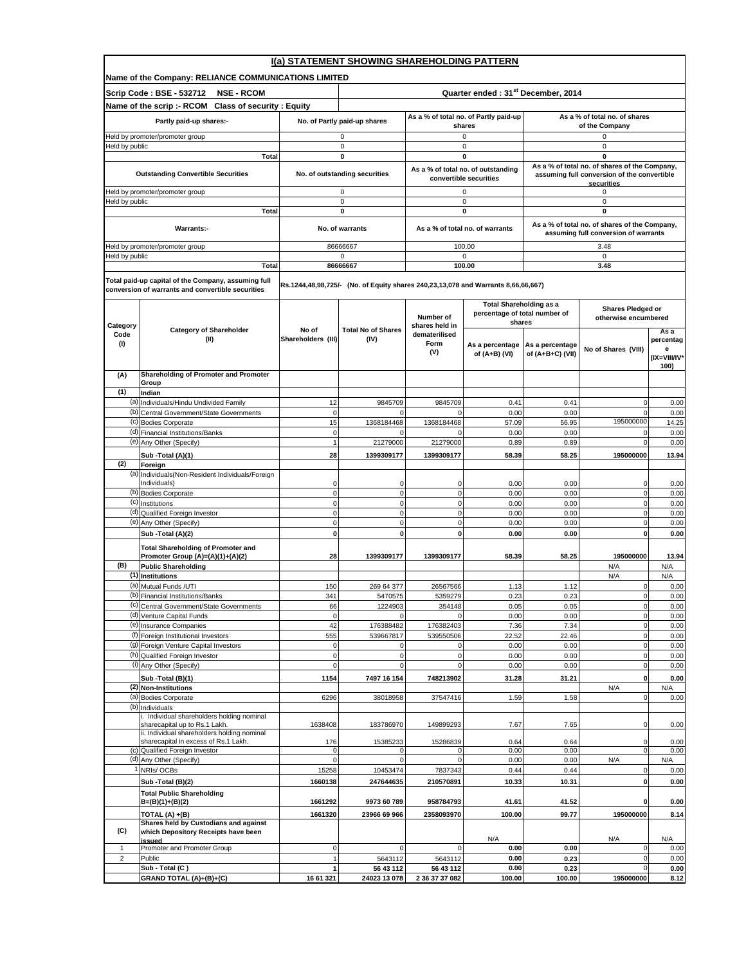|                         |                                                                                                          |                             | I(a) STATEMENT SHOWING SHAREHOLDING PATTERN                                       |                                                 |                                         |                                                 |                                                                                       |                                       |  |  |
|-------------------------|----------------------------------------------------------------------------------------------------------|-----------------------------|-----------------------------------------------------------------------------------|-------------------------------------------------|-----------------------------------------|-------------------------------------------------|---------------------------------------------------------------------------------------|---------------------------------------|--|--|
|                         | Name of the Company: RELIANCE COMMUNICATIONS LIMITED                                                     |                             |                                                                                   |                                                 |                                         |                                                 |                                                                                       |                                       |  |  |
|                         | Scrip Code: BSE - 532712<br><b>NSE - RCOM</b>                                                            |                             | Quarter ended: 31 <sup>st</sup> December, 2014                                    |                                                 |                                         |                                                 |                                                                                       |                                       |  |  |
|                         | Name of the scrip :- RCOM Class of security : Equity                                                     |                             |                                                                                   |                                                 |                                         |                                                 |                                                                                       |                                       |  |  |
|                         | Partly paid-up shares:-                                                                                  |                             | No. of Partly paid-up shares                                                      | As a % of total no. of Partly paid-up<br>shares |                                         | As a % of total no. of shares<br>of the Company |                                                                                       |                                       |  |  |
|                         | Held by promoter/promoter group                                                                          |                             | 0                                                                                 |                                                 | $\mathsf 0$                             |                                                 | 0                                                                                     |                                       |  |  |
| Held by public          | Total                                                                                                    |                             | $\mathbf 0$<br>0                                                                  |                                                 | 0<br>0                                  |                                                 | 0<br>0                                                                                |                                       |  |  |
|                         |                                                                                                          |                             |                                                                                   |                                                 | As a % of total no. of outstanding      |                                                 | As a % of total no. of shares of the Company,                                         |                                       |  |  |
|                         | <b>Outstanding Convertible Securities</b>                                                                |                             | No. of outstanding securities                                                     |                                                 | convertible securities                  |                                                 | assuming full conversion of the convertible<br>securities                             |                                       |  |  |
|                         | Held by promoter/promoter group                                                                          |                             | $\mathbf 0$                                                                       |                                                 | $\mathsf 0$                             |                                                 | 0<br>0                                                                                |                                       |  |  |
| Held by public          | <b>Total</b>                                                                                             |                             | $\mathsf 0$<br>$\mathbf 0$                                                        |                                                 | $\mathsf 0$<br>0                        |                                                 | 0                                                                                     |                                       |  |  |
|                         | Warrants:-                                                                                               |                             | No. of warrants                                                                   |                                                 | As a % of total no. of warrants         |                                                 | As a % of total no. of shares of the Company,<br>assuming full conversion of warrants |                                       |  |  |
|                         | Held by promoter/promoter group                                                                          |                             | 86666667                                                                          |                                                 | 100.00                                  |                                                 | 3.48                                                                                  |                                       |  |  |
| Held by public          |                                                                                                          |                             | $\mathbf 0$                                                                       |                                                 | 0                                       |                                                 | $\mathbf 0$                                                                           |                                       |  |  |
|                         | Total                                                                                                    |                             | 86666667                                                                          |                                                 | 100.00                                  |                                                 | 3.48                                                                                  |                                       |  |  |
|                         | Total paid-up capital of the Company, assuming full<br>conversion of warrants and convertible securities |                             | Rs.1244,48,98,725/- (No. of Equity shares 240,23,13,078 and Warrants 8,66,66,667) |                                                 |                                         |                                                 |                                                                                       |                                       |  |  |
|                         |                                                                                                          |                             |                                                                                   |                                                 | <b>Total Shareholding as a</b>          |                                                 | Shares Pledged or                                                                     |                                       |  |  |
|                         |                                                                                                          |                             |                                                                                   | Number of                                       | percentage of total number of<br>shares |                                                 | otherwise encumbered                                                                  |                                       |  |  |
| Category<br>Code<br>(1) | <b>Category of Shareholder</b><br>(II)                                                                   | No of<br>Shareholders (III) | <b>Total No of Shares</b><br>(IV)                                                 | shares held in<br>dematerilised<br>Form<br>(V)  | As a percentage<br>of (A+B) (VI)        | As a percentage<br>of (A+B+C) (VII)             | No of Shares (VIII)                                                                   | Asa<br>percentag<br>е<br>(IX=VIII/IV* |  |  |
|                         |                                                                                                          |                             |                                                                                   |                                                 |                                         |                                                 |                                                                                       | 100)                                  |  |  |
| (A)                     | Shareholding of Promoter and Promoter<br>Group                                                           |                             |                                                                                   |                                                 |                                         |                                                 |                                                                                       |                                       |  |  |
| (1)                     | Indian                                                                                                   |                             |                                                                                   |                                                 |                                         |                                                 |                                                                                       |                                       |  |  |
| (b)                     | (a) Individuals/Hindu Undivided Family<br>Central Government/State Governments                           | 12<br>$\mathbf 0$           | 9845709<br>$\Omega$                                                               | 9845709                                         | 0.41<br>0.00                            | 0.41<br>0.00                                    | $\mathbf{0}$<br>$\Omega$                                                              | 0.00<br>0.00                          |  |  |
| (c)                     | <b>Bodies Corporate</b>                                                                                  | 15                          | 1368184468                                                                        | 1368184468                                      | 57.09                                   | 56.95                                           | 195000000                                                                             | 14.25                                 |  |  |
|                         | (d) Financial Institutions/Banks                                                                         | $\mathbf 0$                 | $\mathbf{0}$                                                                      | $\mathbf{0}$                                    | 0.00                                    | 0.00                                            | 0                                                                                     | 0.00                                  |  |  |
|                         | (e) Any Other (Specify)                                                                                  | $\overline{1}$              | 21279000                                                                          | 21279000                                        | 0.89                                    | 0.89                                            | $\mathbf 0$                                                                           | 0.00                                  |  |  |
| (2)                     | Sub - Total (A)(1)<br>Foreign                                                                            | 28                          | 1399309177                                                                        | 1399309177                                      | 58.39                                   | 58.25                                           | 195000000                                                                             | 13.94                                 |  |  |
|                         | (a) Individuals (Non-Resident Individuals/Foreign<br>Individuals)                                        | 0                           | $\mathbf 0$                                                                       | $\mathbf 0$                                     | 0.00                                    | 0.00                                            | $\mathbf 0$                                                                           | 0.00                                  |  |  |
| (b)                     | <b>Bodies Corporate</b>                                                                                  | 0                           | $\mathbf{0}$                                                                      | $\mathbf{0}$                                    | 0.00                                    | 0.00                                            | $\mathbf 0$                                                                           | 0.00                                  |  |  |
|                         | (c) Institutions                                                                                         | $\mathbf 0$                 | $\circ$                                                                           | $\mathbf{0}$                                    | 0.00                                    | 0.00                                            | $\mathbf 0$                                                                           | 0.00                                  |  |  |
|                         | (d) Qualified Foreign Investor<br>(e) Any Other (Specify)                                                | $\mathbf 0$<br>0            | $\mathbf{0}$<br>$\mathbf{0}$                                                      | $\mathbf{0}$<br>$\mathbf{0}$                    | 0.00<br>0.00                            | 0.00<br>0.00                                    | $\mathbf 0$<br>$\mathbf 0$                                                            | 0.00<br>0.00                          |  |  |
|                         | Sub -Total (A)(2)                                                                                        | $\mathbf 0$                 | $\mathbf{0}$                                                                      | $\mathbf{0}$                                    | 0.00                                    | 0.00                                            | $\mathbf{0}$                                                                          | 0.00                                  |  |  |
|                         | <b>Total Shareholding of Promoter and</b>                                                                |                             |                                                                                   |                                                 |                                         |                                                 |                                                                                       |                                       |  |  |
|                         | Promoter Group (A)=(A)(1)+(A)(2)                                                                         | 28                          | 1399309177                                                                        | 1399309177                                      | 58.39                                   | 58.25                                           | 195000000                                                                             | 13.94                                 |  |  |
| (B)                     | <b>Public Shareholding</b><br>(1) Institutions                                                           |                             |                                                                                   |                                                 |                                         |                                                 | N/A<br>N/A                                                                            | N/A<br>N/A                            |  |  |
|                         | (a) Mutual Funds /UTI                                                                                    | 150                         | 269 64 377                                                                        | 26567566                                        | 1.13                                    | 1.12                                            | $\mathbf{0}$                                                                          | 0.00                                  |  |  |
|                         | (b) Financial Institutions/Banks                                                                         | 341                         | 5470575                                                                           | 5359279                                         | 0.23                                    | 0.23                                            | $\circ$                                                                               | 0.00                                  |  |  |
|                         | (c) Central Government/State Governments<br>(d) Venture Capital Funds                                    | 66<br>$\mathbf 0$           | 1224903<br>$\mathbf 0$                                                            | 354148<br>$\mathbf 0$                           | 0.05<br>0.00                            | 0.05<br>0.00                                    | $\overline{0}$<br>$\mathbf 0$                                                         | 0.00<br>0.00                          |  |  |
|                         | (e) Insurance Companies                                                                                  | 42                          | 176388482                                                                         | 176382403                                       | 7.36                                    | 7.34                                            | $\circ$                                                                               | 0.00                                  |  |  |
|                         | (f) Foreign Institutional Investors                                                                      | 555                         | 539667817                                                                         | 539550506                                       | 22.52                                   | 22.46                                           | $\mathbf 0$                                                                           | 0.00                                  |  |  |
|                         | (g) Foreign Venture Capital Investors<br>(h) Qualified Foreign Investor                                  | $\mathbf 0$<br>$\mathbf 0$  | $\mathbf 0$<br>$\mathbf{0}$                                                       | $\mathbf{0}$<br>$\mathbf{0}$                    | 0.00<br>0.00                            | 0.00<br>0.00                                    | $\mathbf 0$<br>$\mathbf 0$                                                            | 0.00<br>0.00                          |  |  |
|                         | (i) Any Other (Specify)                                                                                  | 0                           | $\mathbf{0}$                                                                      | $\mathbf{0}$                                    | 0.00                                    | 0.00                                            | $\overline{0}$                                                                        | 0.00                                  |  |  |
|                         | Sub -Total (B)(1)                                                                                        | 1154                        | 7497 16 154                                                                       | 748213902                                       | 31.28                                   | 31.21                                           | $\mathbf{0}$                                                                          | 0.00                                  |  |  |
| (a)                     | (2) Non-Institutions<br><b>Bodies Corporate</b>                                                          | 6296                        |                                                                                   |                                                 | 1.59                                    |                                                 | N/A                                                                                   | N/A                                   |  |  |
| (b)                     | Individuals                                                                                              |                             | 38018958                                                                          | 37547416                                        |                                         | 1.58                                            | $\circ$                                                                               | 0.00                                  |  |  |
|                         | . Individual shareholders holding nominal<br>sharecapital up to Rs.1 Lakh.                               | 1638408                     | 183786970                                                                         | 149899293                                       | 7.67                                    | 7.65                                            | $\circ$                                                                               | 0.00                                  |  |  |
|                         | ii. Individual shareholders holding nominal<br>sharecapital in excess of Rs.1 Lakh.                      | 176                         | 15385233                                                                          | 15286839                                        | 0.64                                    | 0.64                                            | $\mathbf 0$                                                                           | 0.00                                  |  |  |
|                         | (c) Qualified Foreign Investor                                                                           | $\mathbf 0$                 | $\mathbf 0$                                                                       | $\mathbf 0$                                     | 0.00                                    | 0.00                                            | $\overline{0}$                                                                        | 0.00                                  |  |  |
| (d)                     | Any Other (Specify)<br>NRIs/OCBs                                                                         | $\Omega$<br>15258           | $\mathbf{0}$<br>10453474                                                          | $\mathbf 0$<br>7837343                          | 0.00<br>0.44                            | 0.00<br>0.44                                    | N/A<br>$\mathbf 0$                                                                    | N/A<br>0.00                           |  |  |
|                         | Sub - Total (B)(2)                                                                                       | 1660138                     | 247644635                                                                         | 210570891                                       | 10.33                                   | 10.31                                           | $\mathbf{0}$                                                                          | 0.00                                  |  |  |
|                         | <b>Total Public Shareholding</b>                                                                         |                             |                                                                                   |                                                 |                                         |                                                 |                                                                                       |                                       |  |  |
|                         | $B=(B)(1)+(B)(2)$                                                                                        | 1661292                     | 9973 60 789                                                                       | 958784793                                       | 41.61                                   | 41.52                                           | $\bf o$                                                                               | 0.00                                  |  |  |
|                         | TOTAL (A) +(B)<br>Shares held by Custodians and against                                                  | 1661320                     | 23966 69 966                                                                      | 2358093970                                      | 100.00                                  | 99.77                                           | 195000000                                                                             | 8.14                                  |  |  |
| (C)                     | which Depository Receipts have been<br>issued                                                            |                             |                                                                                   |                                                 | N/A                                     |                                                 | N/A                                                                                   | N/A                                   |  |  |
| $\mathbf{1}$            | Promoter and Promoter Group                                                                              | $\pmb{0}$                   | $\mathbf 0$                                                                       | $\mathbf 0$                                     | 0.00                                    | 0.00                                            | $\circ$                                                                               | 0.00                                  |  |  |
| $\overline{\mathbf{c}}$ | Public<br>Sub - Total (C)                                                                                | 1<br>$\mathbf{1}$           | 5643112<br>56 43 112                                                              | 5643112<br>56 43 112                            | 0.00<br>0.00                            | 0.23<br>0.23                                    | $\mathbf 0$<br>$\Omega$                                                               | 0.00<br>0.00                          |  |  |
|                         | GRAND TOTAL (A)+(B)+(C)                                                                                  | 16 61 321                   | 24023 13 078                                                                      | 2 36 37 37 082                                  | 100.00                                  | 100.00                                          | 195000000                                                                             | 8.12                                  |  |  |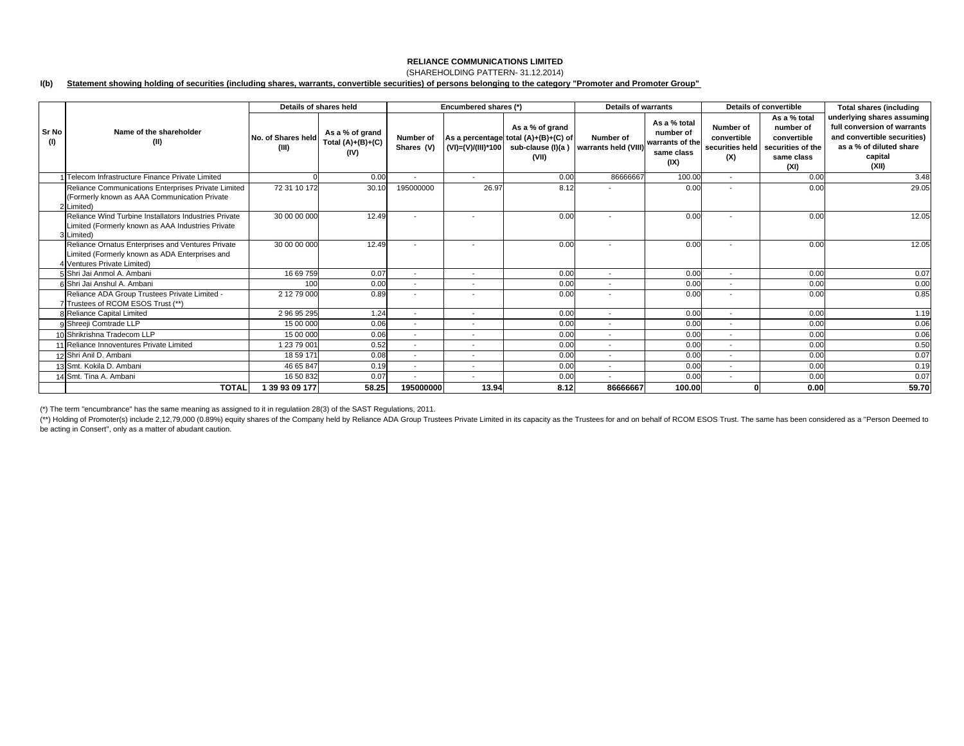### **RELIANCE COMMUNICATIONS LIMITED**(SHAREHOLDING PATTERN- 31.12.2014)

#### **I(b) Statement showing holding of securities (including shares, warrants, convertible securities) of persons belonging to the category "Promoter and Promoter Group"**

|              |                                                                                                                                    |                             | Details of shares held                         |                          | Encumbered shares (*)    |                                                                                                               | Details of warrants               |                                                                    | <b>Details of convertible</b>                      |                                                                                     | <b>Total shares (including</b>                                                                                                          |
|--------------|------------------------------------------------------------------------------------------------------------------------------------|-----------------------------|------------------------------------------------|--------------------------|--------------------------|---------------------------------------------------------------------------------------------------------------|-----------------------------------|--------------------------------------------------------------------|----------------------------------------------------|-------------------------------------------------------------------------------------|-----------------------------------------------------------------------------------------------------------------------------------------|
| Sr No<br>(1) | Name of the shareholder<br>(II)                                                                                                    | No. of Shares held<br>(III) | As a % of grand<br>Total $(A)+(B)+(C)$<br>(IV) | Number of<br>Shares (V)  |                          | As a % of grand<br>As a percentage total (A)+(B)+(C) of<br>$(VI) = (V)/(III)^*100$ sub-clause (I)(a)<br>(VII) | Number of<br>warrants held (VIII) | As a % total<br>number of<br>warrants of the<br>same class<br>(IX) | Number of<br>convertible<br>securities held<br>(X) | As a % total<br>number of<br>convertible<br>securities of the<br>same class<br>(XI) | underlying shares assuming<br>full conversion of warrants<br>and convertible securities)<br>as a % of diluted share<br>capital<br>(XII) |
|              | 1 Telecom Infrastructure Finance Private Limited                                                                                   |                             | 0.00                                           | $\overline{\phantom{a}}$ | $\overline{\phantom{a}}$ | 0.00                                                                                                          | 86666667                          | 100.00                                                             | $\sim$                                             | 0.00                                                                                | 3.48                                                                                                                                    |
|              | Reliance Communications Enterprises Private Limited<br>(Formerly known as AAA Communication Private<br>2 Limited)                  | 72 31 10 172                | 30.10                                          | 195000000                | 26.97                    | 8.12                                                                                                          |                                   | 0.00                                                               |                                                    | 0.00                                                                                | 29.05                                                                                                                                   |
|              | Reliance Wind Turbine Installators Industries Private<br>Limited (Formerly known as AAA Industries Private<br>3 Limited)           | 30 00 00 000                | 12.49                                          | $\overline{\phantom{a}}$ | $\overline{\phantom{a}}$ | 0.00                                                                                                          | $\overline{\phantom{a}}$          | 0.00                                                               |                                                    | 0.00                                                                                | 12.05                                                                                                                                   |
|              | Reliance Ornatus Enterprises and Ventures Private<br>Limited (Formerly known as ADA Enterprises and<br>4 Ventures Private Limited) | 30 00 00 000                | 12.49                                          | $\overline{\phantom{a}}$ | $\overline{\phantom{a}}$ | 0.00                                                                                                          |                                   | 0.00                                                               |                                                    | 0.00                                                                                | 12.05                                                                                                                                   |
|              | 5 Shri Jai Anmol A. Ambani                                                                                                         | 16 69 759                   | 0.07                                           | $\overline{\phantom{a}}$ | $\overline{\phantom{a}}$ | 0.00                                                                                                          | $\overline{\phantom{a}}$          | 0.00                                                               | $\overline{a}$                                     | 0.00                                                                                | 0.07                                                                                                                                    |
|              | 6 Shri Jai Anshul A. Ambani                                                                                                        | 100                         | 0.00                                           | $\overline{\phantom{a}}$ | $\overline{\phantom{a}}$ | 0.00                                                                                                          | $\overline{\phantom{0}}$          | 0.00                                                               |                                                    | 0.00                                                                                | 0.00                                                                                                                                    |
|              | Reliance ADA Group Trustees Private Limited -<br>7 Trustees of RCOM ESOS Trust (**)                                                | 2 12 79 000                 | 0.89                                           |                          |                          | 0.00                                                                                                          |                                   | 0.00                                                               |                                                    | 0.00                                                                                | 0.85                                                                                                                                    |
|              | 8 Reliance Capital Limited                                                                                                         | 29695295                    | 1.24                                           | $\overline{\phantom{a}}$ | $\overline{\phantom{a}}$ | 0.00                                                                                                          | $\overline{\phantom{a}}$          | 0.00                                                               | $\sim$                                             | 0.00                                                                                | 1.19                                                                                                                                    |
|              | 9 Shreeji Comtrade LLP                                                                                                             | 15 00 000                   | 0.06                                           | $\overline{\phantom{a}}$ | $\overline{\phantom{a}}$ | 0.00                                                                                                          | $\overline{\phantom{a}}$          | 0.00                                                               | $\overline{\phantom{a}}$                           | 0.00                                                                                | 0.06                                                                                                                                    |
|              | 10 Shrikrishna Tradecom LLP                                                                                                        | 15 00 000                   | 0.06                                           | $\overline{\phantom{a}}$ | $\overline{\phantom{a}}$ | 0.00                                                                                                          | $\overline{\phantom{a}}$          | 0.00                                                               | $\overline{\phantom{a}}$                           | 0.00                                                                                | 0.06                                                                                                                                    |
|              | 11 Reliance Innoventures Private Limited                                                                                           | 1 23 79 001                 | 0.52                                           | $\overline{\phantom{a}}$ | $\overline{\phantom{a}}$ | 0.00                                                                                                          | $\overline{\phantom{a}}$          | 0.00                                                               | $\overline{a}$                                     | 0.00                                                                                | 0.50                                                                                                                                    |
|              | 12 Shri Anil D. Ambani                                                                                                             | 18 59 171                   | 0.08                                           | $\overline{\phantom{a}}$ | $\overline{\phantom{a}}$ | 0.00                                                                                                          | $\overline{\phantom{a}}$          | 0.00                                                               | $\sim$                                             | 0.00                                                                                | 0.07                                                                                                                                    |
|              | 13 Smt. Kokila D. Ambani                                                                                                           | 46 65 847                   | 0.19                                           | $\overline{\phantom{a}}$ | $\overline{\phantom{a}}$ | 0.00                                                                                                          | $\overline{\phantom{a}}$          | 0.00                                                               | $\overline{\phantom{a}}$                           | 0.00                                                                                | 0.19                                                                                                                                    |
|              | 14 Smt. Tina A. Ambani                                                                                                             | 16 50 832                   | 0.07                                           | $\overline{\phantom{a}}$ | $\overline{\phantom{a}}$ | 0.00                                                                                                          | $\overline{\phantom{0}}$          | 0.00                                                               | $\overline{a}$                                     | 0.00                                                                                | 0.07                                                                                                                                    |
|              | <b>TOTAL</b>                                                                                                                       | 1 39 93 09 177              | 58.25                                          | 195000000                | 13.94                    | 8.12                                                                                                          | 86666667                          | 100.00                                                             |                                                    | 0.00                                                                                | 59.70                                                                                                                                   |

(\*) The term "encumbrance" has the same meaning as assigned to it in regulatiion 28(3) of the SAST Regulations, 2011.

(\*\*) Holding of Promoter(s) include 2,12,79,000 (0.89%) equity shares of the Company held by Reliance ADA Group Trustees Private Limited in its capacity as the Trustees for and on behalf of RCOM ESOS Trust. The same has be be acting in Consert'', only as a matter of abudant caution.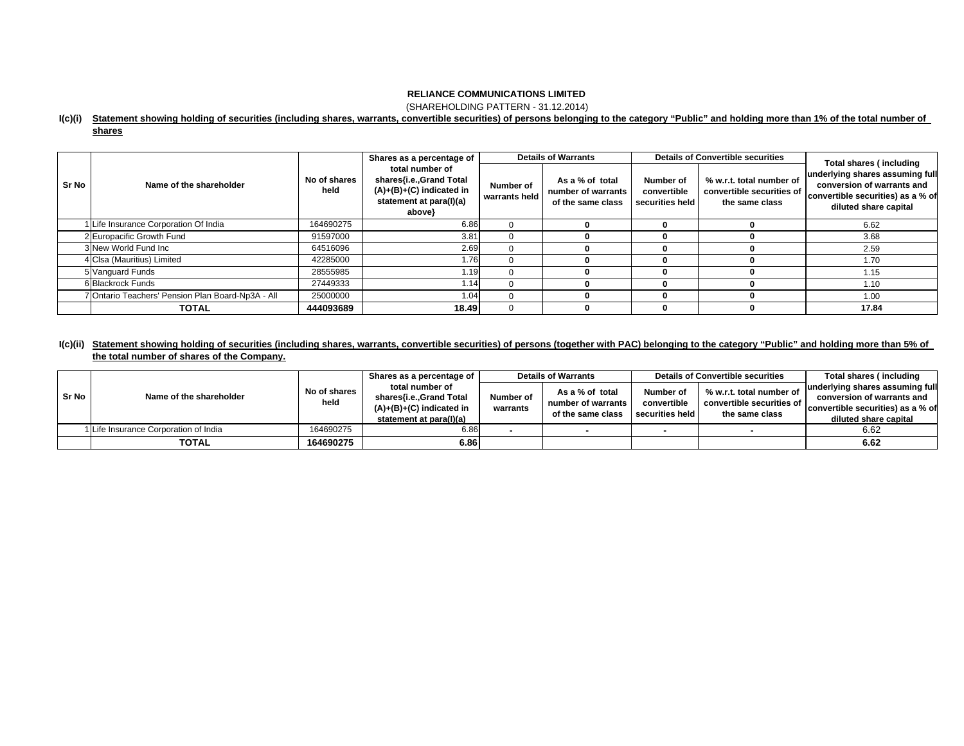(SHAREHOLDING PATTERN - 31.12.2014)

#### **I(c)(i) Statement showing holding of securities (including shares, warrants, convertible securities) of persons belonging to the category "Public" and holding more than 1% of the total number of**

| ∵nare | 5 |
|-------|---|
|       |   |

|       |                                                  |                      | Shares as a percentage of                                                                                     |                            | <b>Details of Warrants</b>                                 |                                             | <b>Details of Convertible securities</b>                                | Total shares (including                                                                                                     |  |
|-------|--------------------------------------------------|----------------------|---------------------------------------------------------------------------------------------------------------|----------------------------|------------------------------------------------------------|---------------------------------------------|-------------------------------------------------------------------------|-----------------------------------------------------------------------------------------------------------------------------|--|
| Sr No | Name of the shareholder                          | No of shares<br>held | total number of<br>shares{i.e.,Grand Total<br>$(A)+(B)+(C)$ indicated in<br>statement at para(I)(a)<br>above} | Number of<br>warrants held | As a % of total<br>number of warrants<br>of the same class | Number of<br>convertible<br>securities held | % w.r.t. total number of<br>convertible securities of<br>the same class | underlying shares assuming full<br>conversion of warrants and<br>convertible securities) as a % of<br>diluted share capital |  |
|       | Life Insurance Corporation Of India              | 164690275            | 6.86                                                                                                          | $\Omega$                   |                                                            |                                             |                                                                         | 6.62                                                                                                                        |  |
|       | 2 Europacific Growth Fund                        | 91597000             | 3.81                                                                                                          | 0                          |                                                            |                                             |                                                                         | 3.68                                                                                                                        |  |
|       | 3 New World Fund Inc                             | 64516096             | 2.69                                                                                                          |                            |                                                            |                                             |                                                                         | 2.59                                                                                                                        |  |
|       | 4 Clsa (Mauritius) Limited                       | 42285000             | 1.76                                                                                                          |                            |                                                            |                                             |                                                                         | 1.70                                                                                                                        |  |
|       | 5 Vanguard Funds                                 | 28555985             | 1.19                                                                                                          | 0                          |                                                            |                                             |                                                                         | 1.15                                                                                                                        |  |
|       | 6 Blackrock Funds                                | 27449333             | 1.14                                                                                                          | $\Omega$                   |                                                            |                                             |                                                                         | 1.10                                                                                                                        |  |
|       | 'Ontario Teachers' Pension Plan Board-Np3A - All | 25000000             | 1.04                                                                                                          | $\Omega$                   |                                                            |                                             |                                                                         | 1.00                                                                                                                        |  |
|       | <b>TOTAL</b>                                     | 444093689            | 18.49                                                                                                         | $\Omega$                   |                                                            |                                             |                                                                         | 17.84                                                                                                                       |  |

## **I(c)(ii) Statement showing holding of securities (including shares, warrants, convertible securities) of persons (together with PAC) belonging to the category "Public" and holding more than 5% of the total number of shares of the Company.**

|       | Name of the shareholder               | No of shares<br>held | Shares as a percentage of                                                | <b>Details of Warrants</b> |                                         |                                | <b>Details of Convertible securities</b>    | Total shares (including           |
|-------|---------------------------------------|----------------------|--------------------------------------------------------------------------|----------------------------|-----------------------------------------|--------------------------------|---------------------------------------------|-----------------------------------|
|       |                                       |                      | total number of<br>shares{i.e.,Grand Total<br>$(A)+(B)+(C)$ indicated in |                            | As a % of total                         | Number of                      | % w.r.t. total number of                    | underlying shares assuming full   |
| Sr No |                                       |                      |                                                                          | Number of<br>warrants      | number of warrants<br>of the same class | convertible<br>securities held | convertible securities of<br>the same class | conversion of warrants and        |
|       |                                       |                      |                                                                          |                            |                                         |                                |                                             | convertible securities) as a % of |
|       |                                       |                      | statement at para(I)(a)                                                  |                            |                                         |                                |                                             | diluted share capital             |
|       | 1 Life Insurance Corporation of India | 164690275            | 6.86                                                                     |                            |                                         |                                |                                             | 6.62                              |
|       | <b>TOTAL</b>                          | 164690275            | 6.86                                                                     |                            |                                         |                                |                                             | 6.62                              |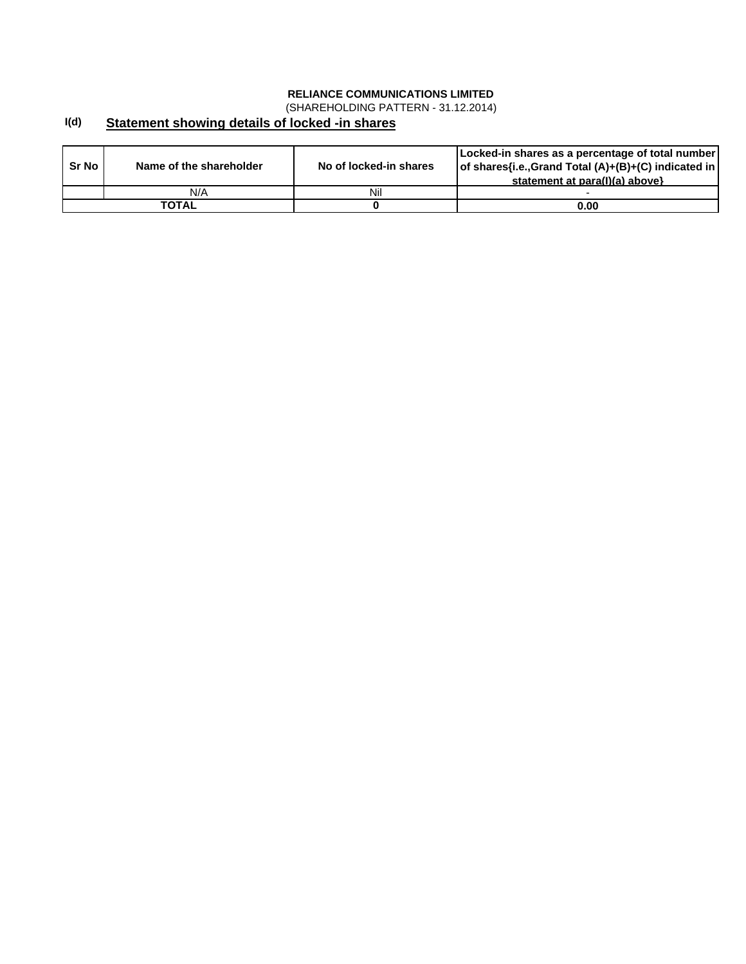(SHAREHOLDING PATTERN - 31.12.2014)

#### **I(d) Statement showing details of locked -in shares**

| Sr No | Name of the shareholder | No of locked-in shares | Locked-in shares as a percentage of total number<br>of shares{i.e., Grand Total (A)+(B)+(C) indicated in<br>statement at para(I)(a) above} |
|-------|-------------------------|------------------------|--------------------------------------------------------------------------------------------------------------------------------------------|
|       | N/A                     | Nil                    |                                                                                                                                            |
|       | TOTAL                   |                        | 0.00                                                                                                                                       |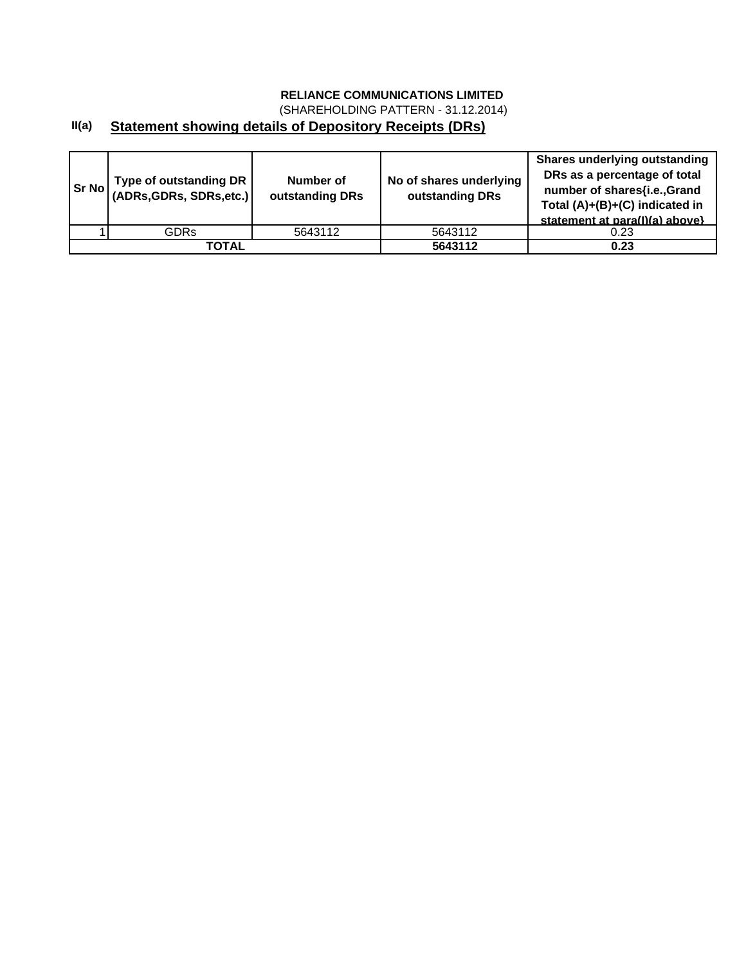(SHAREHOLDING PATTERN - 31.12.2014)

# **II(a) Statement showing details of Depository Receipts (DRs)**

| Sr No | Type of outstanding DR<br>(ADRs, GDRs, SDRs, etc.) | Number of<br>outstanding DRs |         | <b>Shares underlying outstanding</b><br>DRs as a percentage of total<br>number of shares{i.e.,Grand<br>Total (A)+(B)+(C) indicated in<br>statement at para(I)(a) above} |
|-------|----------------------------------------------------|------------------------------|---------|-------------------------------------------------------------------------------------------------------------------------------------------------------------------------|
|       | GDRs                                               | 5643112                      | 5643112 | 0.23                                                                                                                                                                    |
|       | TOTAL                                              |                              | 5643112 | 0.23                                                                                                                                                                    |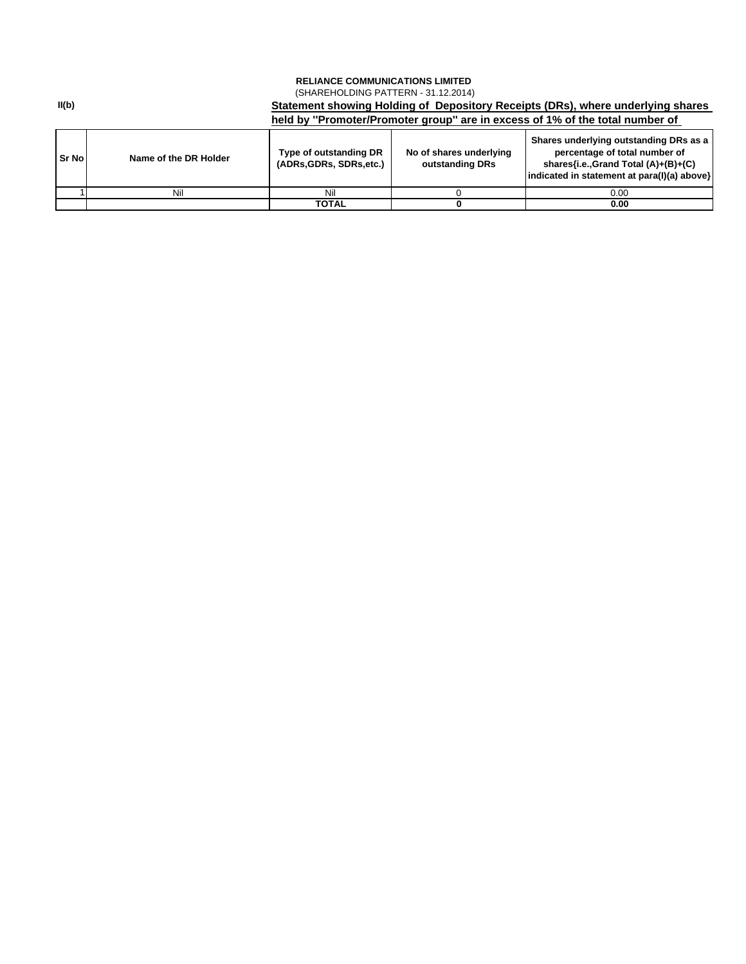## **RELIANCE COMMUNICATIONS LIMITED Statement showing Holding of Depository Receipts (DRs), where underlying shares**  (SHAREHOLDING PATTERN - 31.12.2014)

|        |                       | held by "Promoter/Promoter group" are in excess of 1% of the total number of                   |  |                                                                                                                                                               |  |  |  |  |  |
|--------|-----------------------|------------------------------------------------------------------------------------------------|--|---------------------------------------------------------------------------------------------------------------------------------------------------------------|--|--|--|--|--|
| Sr Nol | Name of the DR Holder | No of shares underlying<br>Type of outstanding DR<br>(ADRs.GDRs, SDRs.etc.)<br>outstanding DRs |  | Shares underlying outstanding DRs as a<br>percentage of total number of<br>shares{i.e.,Grand Total (A)+(B)+(C)<br>indicated in statement at para(I)(a) above} |  |  |  |  |  |
|        | Nil                   | Nil                                                                                            |  | 0.00                                                                                                                                                          |  |  |  |  |  |
|        |                       | TOTAL                                                                                          |  | 0.00                                                                                                                                                          |  |  |  |  |  |

**II(b)**